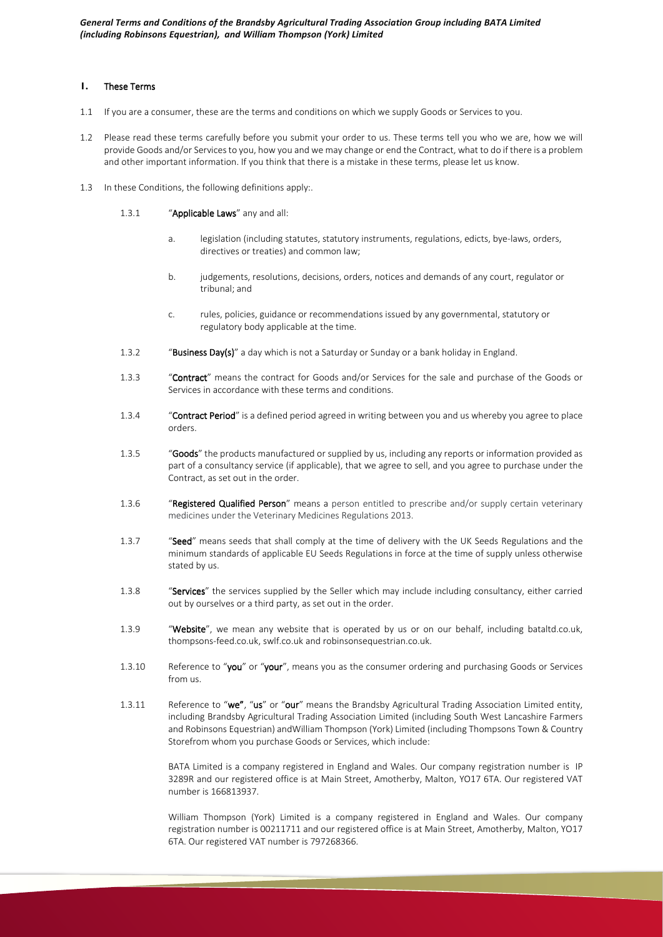# **1.** These Terms

- 1.1 If you are a consumer, these are the terms and conditions on which we supply Goods or Services to you.
- 1.2 Please read these terms carefully before you submit your order to us. These terms tell you who we are, how we will provide Goods and/or Services to you, how you and we may change or end the Contract, what to do if there is a problem and other important information. If you think that there is a mistake in these terms, please let us know.
- 1.3 In these Conditions, the following definitions apply:.
	- 1.3.1 "Applicable Laws" any and all:
		- a. legislation (including statutes, statutory instruments, regulations, edicts, bye-laws, orders, directives or treaties) and common law;
		- b. judgements, resolutions, decisions, orders, notices and demands of any court, regulator or tribunal; and
		- c. rules, policies, guidance or recommendations issued by any governmental, statutory or regulatory body applicable at the time.
	- 1.3.2 "Business Day(s)" a day which is not a Saturday or Sunday or a bank holiday in England.
	- 1.3.3 "Contract" means the contract for Goods and/or Services for the sale and purchase of the Goods or Services in accordance with these terms and conditions.
	- 1.3.4 "Contract Period" is a defined period agreed in writing between you and us whereby you agree to place orders.
	- 1.3.5 "Goods" the products manufactured or supplied by us, including any reports or information provided as part of a consultancy service (if applicable), that we agree to sell, and you agree to purchase under the Contract, as set out in the order.
	- 1.3.6 "Registered Qualified Person" means a person entitled to prescribe and/or supply certain veterinary medicines under the Veterinary Medicines Regulations 2013.
	- 1.3.7 "Seed" means seeds that shall comply at the time of delivery with the UK Seeds Regulations and the minimum standards of applicable EU Seeds Regulations in force at the time of supply unless otherwise stated by us.
	- 1.3.8 "Services" the services supplied by the Seller which may include including consultancy, either carried out by ourselves or a third party, as set out in the order.
	- 1.3.9 "Website", we mean any website that is operated by us or on our behalf, including bataltd.co.uk, thompsons-feed.co.uk, swlf.co.uk and robinsonsequestrian.co.uk.
	- 1.3.10 Reference to "you" or "your", means you as the consumer ordering and purchasing Goods or Services from us.
	- 1.3.11 Reference to "we", "us" or "our" means the Brandsby Agricultural Trading Association Limited entity, including Brandsby Agricultural Trading Association Limited (including South West Lancashire Farmers and Robinsons Equestrian) andWilliam Thompson (York) Limited (including Thompsons Town & Country Storefrom whom you purchase Goods or Services, which include:

BATA Limited is a company registered in England and Wales. Our company registration number is IP 3289R and our registered office is at Main Street, Amotherby, Malton, YO17 6TA. Our registered VAT number is 166813937.

William Thompson (York) Limited is a company registered in England and Wales. Our company registration number is 00211711 and our registered office is at Main Street, Amotherby, Malton, YO17 6TA. Our registered VAT number is 797268366.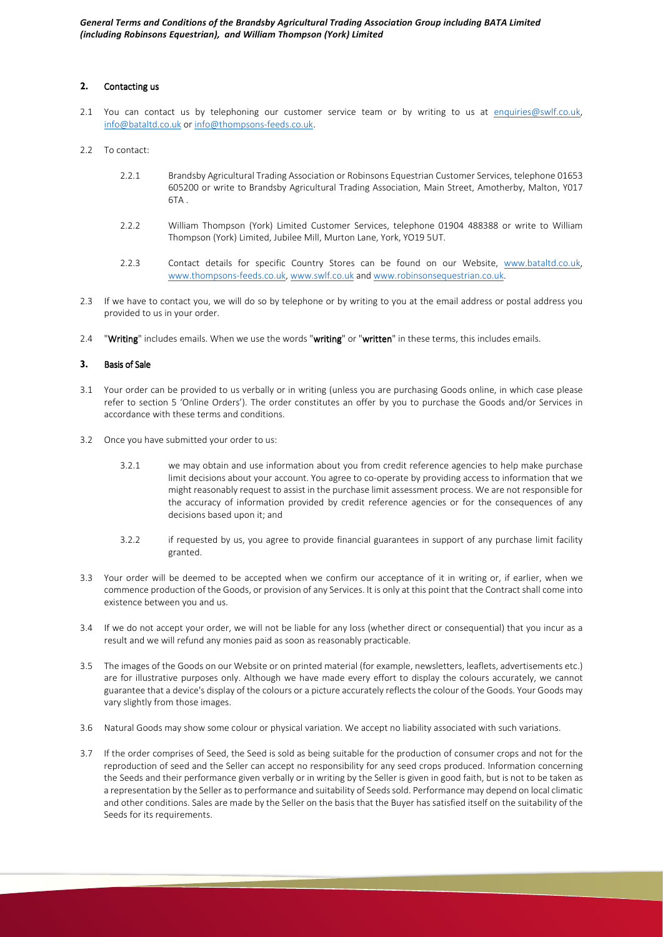*General Terms and Conditions of the Brandsby Agricultural Trading Association Group including BATA Limited (including Robinsons Equestrian), and William Thompson (York) Limited* 

### **2.** Contacting us

- 2.1 You can contact us by telephoning our customer service team or by writing to us at enquiries@swlf.co.uk, info@bataltd.co.uk or info@thompsons-feeds.co.uk.
- 2.2 To contact:
	- 2.2.1 Brandsby Agricultural Trading Association or Robinsons Equestrian Customer Services, telephone 01653 605200 or write to Brandsby Agricultural Trading Association, Main Street, Amotherby, Malton, Y017 6TA .
	- 2.2.2 William Thompson (York) Limited Customer Services, telephone 01904 488388 or write to William Thompson (York) Limited, Jubilee Mill, Murton Lane, York, YO19 5UT.
	- 2.2.3 Contact details for specific Country Stores can be found on our Website, www.bataltd.co.uk, www.thompsons-feeds.co.uk, www.swlf.co.uk and www.robinsonsequestrian.co.uk.
- 2.3 If we have to contact you, we will do so by telephone or by writing to you at the email address or postal address you provided to us in your order.
- 2.4 "Writing" includes emails. When we use the words "writing" or "written" in these terms, this includes emails.

### **3.** Basis of Sale

- 3.1 Your order can be provided to us verbally or in writing (unless you are purchasing Goods online, in which case please refer to section 5 'Online Orders'). The order constitutes an offer by you to purchase the Goods and/or Services in accordance with these terms and conditions.
- 3.2 Once you have submitted your order to us:
	- 3.2.1 we may obtain and use information about you from credit reference agencies to help make purchase limit decisions about your account. You agree to co-operate by providing access to information that we might reasonably request to assist in the purchase limit assessment process. We are not responsible for the accuracy of information provided by credit reference agencies or for the consequences of any decisions based upon it; and
	- 3.2.2 if requested by us, you agree to provide financial guarantees in support of any purchase limit facility granted.
- 3.3 Your order will be deemed to be accepted when we confirm our acceptance of it in writing or, if earlier, when we commence production of the Goods, or provision of any Services. It is only at this point that the Contract shall come into existence between you and us.
- 3.4 If we do not accept your order, we will not be liable for any loss (whether direct or consequential) that you incur as a result and we will refund any monies paid as soon as reasonably practicable.
- 3.5 The images of the Goods on our Website or on printed material (for example, newsletters, leaflets, advertisements etc.) are for illustrative purposes only. Although we have made every effort to display the colours accurately, we cannot guarantee that a device's display of the colours or a picture accurately reflects the colour of the Goods. Your Goods may vary slightly from those images.
- 3.6 Natural Goods may show some colour or physical variation. We accept no liability associated with such variations.
- 3.7 If the order comprises of Seed, the Seed is sold as being suitable for the production of consumer crops and not for the reproduction of seed and the Seller can accept no responsibility for any seed crops produced. Information concerning the Seeds and their performance given verbally or in writing by the Seller is given in good faith, but is not to be taken as a representation by the Seller as to performance and suitability of Seeds sold. Performance may depend on local climatic and other conditions. Sales are made by the Seller on the basis that the Buyer has satisfied itself on the suitability of the Seeds for its requirements.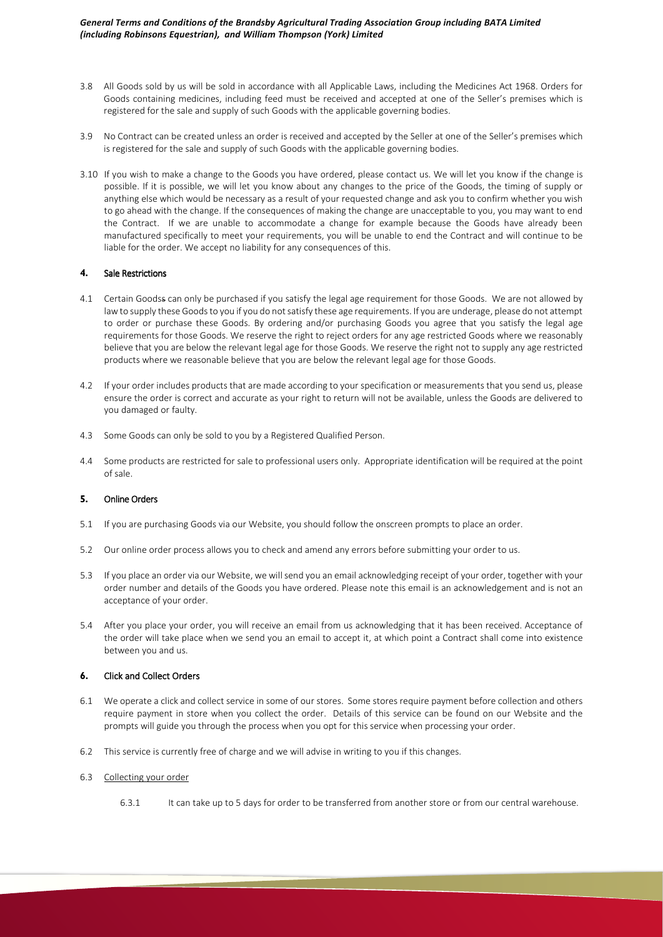- 3.8 All Goods sold by us will be sold in accordance with all Applicable Laws, including the Medicines Act 1968. Orders for Goods containing medicines, including feed must be received and accepted at one of the Seller's premises which is registered for the sale and supply of such Goods with the applicable governing bodies.
- 3.9 No Contract can be created unless an order is received and accepted by the Seller at one of the Seller's premises which is registered for the sale and supply of such Goods with the applicable governing bodies.
- 3.10 If you wish to make a change to the Goods you have ordered, please contact us. We will let you know if the change is possible. If it is possible, we will let you know about any changes to the price of the Goods, the timing of supply or anything else which would be necessary as a result of your requested change and ask you to confirm whether you wish to go ahead with the change. If the consequences of making the change are unacceptable to you, you may want to end the Contract. If we are unable to accommodate a change for example because the Goods have already been manufactured specifically to meet your requirements, you will be unable to end the Contract and will continue to be liable for the order. We accept no liability for any consequences of this.

### **4.** Sale Restrictions

- 4.1 Certain Goodss can only be purchased if you satisfy the legal age requirement for those Goods. We are not allowed by law to supply these Goods to you if you do not satisfy these age requirements. If you are underage, please do not attempt to order or purchase these Goods. By ordering and/or purchasing Goods you agree that you satisfy the legal age requirements for those Goods. We reserve the right to reject orders for any age restricted Goods where we reasonably believe that you are below the relevant legal age for those Goods. We reserve the right not to supply any age restricted products where we reasonable believe that you are below the relevant legal age for those Goods.
- 4.2 If your order includes products that are made according to your specification or measurements that you send us, please ensure the order is correct and accurate as your right to return will not be available, unless the Goods are delivered to you damaged or faulty.
- 4.3 Some Goods can only be sold to you by a Registered Qualified Person.
- 4.4 Some products are restricted for sale to professional users only. Appropriate identification will be required at the point of sale.

# **5.** Online Orders

- 5.1 If you are purchasing Goods via our Website, you should follow the onscreen prompts to place an order.
- 5.2 Our online order process allows you to check and amend any errors before submitting your order to us.
- 5.3 If you place an order via our Website, we will send you an email acknowledging receipt of your order, together with your order number and details of the Goods you have ordered. Please note this email is an acknowledgement and is not an acceptance of your order.
- 5.4 After you place your order, you will receive an email from us acknowledging that it has been received. Acceptance of the order will take place when we send you an email to accept it, at which point a Contract shall come into existence between you and us.

# **6.** Click and Collect Orders

- 6.1 We operate a click and collect service in some of our stores. Some stores require payment before collection and others require payment in store when you collect the order. Details of this service can be found on our Website and the prompts will guide you through the process when you opt for this service when processing your order.
- 6.2 This service is currently free of charge and we will advise in writing to you if this changes.

### 6.3 Collecting your order

6.3.1 It can take up to 5 days for order to be transferred from another store or from our central warehouse.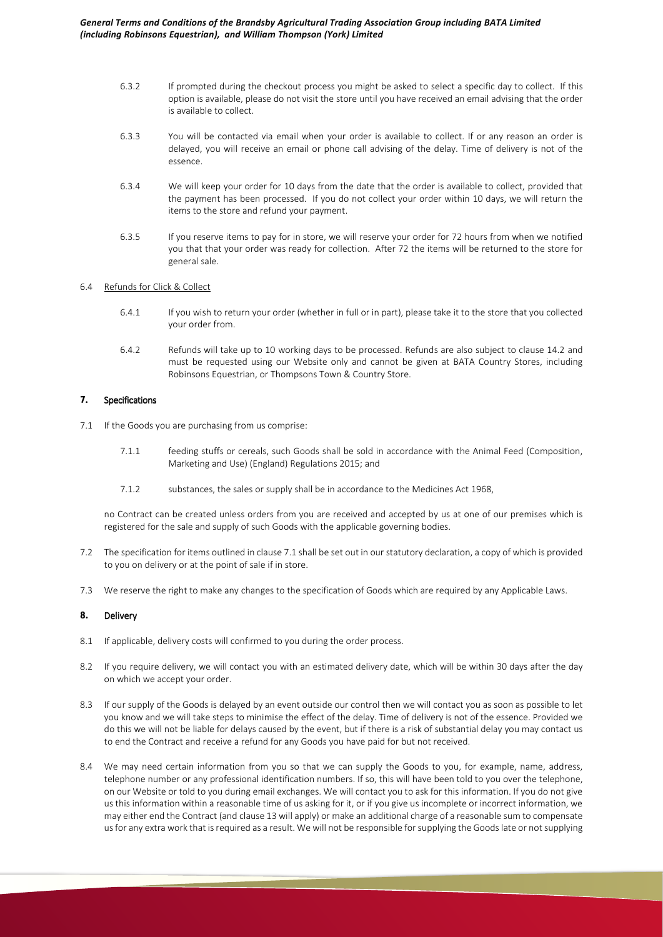- 6.3.2 If prompted during the checkout process you might be asked to select a specific day to collect. If this option is available, please do not visit the store until you have received an email advising that the order is available to collect.
- 6.3.3 You will be contacted via email when your order is available to collect. If or any reason an order is delayed, you will receive an email or phone call advising of the delay. Time of delivery is not of the essence.
- 6.3.4 We will keep your order for 10 days from the date that the order is available to collect, provided that the payment has been processed. If you do not collect your order within 10 days, we will return the items to the store and refund your payment.
- 6.3.5 If you reserve items to pay for in store, we will reserve your order for 72 hours from when we notified you that that your order was ready for collection. After 72 the items will be returned to the store for general sale.

# 6.4 Refunds for Click & Collect

- 6.4.1 If you wish to return your order (whether in full or in part), please take it to the store that you collected your order from.
- 6.4.2 Refunds will take up to 10 working days to be processed. Refunds are also subject to clause 14.2 and must be requested using our Website only and cannot be given at BATA Country Stores, including Robinsons Equestrian, or Thompsons Town & Country Store.

# **7.** Specifications

- 7.1 If the Goods you are purchasing from us comprise:
	- 7.1.1 feeding stuffs or cereals, such Goods shall be sold in accordance with the Animal Feed (Composition, Marketing and Use) (England) Regulations 2015; and
	- 7.1.2 substances, the sales or supply shall be in accordance to the Medicines Act 1968,

no Contract can be created unless orders from you are received and accepted by us at one of our premises which is registered for the sale and supply of such Goods with the applicable governing bodies.

- 7.2 The specification for items outlined in clause 7.1 shall be set out in our statutory declaration, a copy of which is provided to you on delivery or at the point of sale if in store.
- 7.3 We reserve the right to make any changes to the specification of Goods which are required by any Applicable Laws.

### **8.** Delivery

- 8.1 If applicable, delivery costs will confirmed to you during the order process.
- 8.2 If you require delivery, we will contact you with an estimated delivery date, which will be within 30 days after the day on which we accept your order.
- 8.3 If our supply of the Goods is delayed by an event outside our control then we will contact you as soon as possible to let you know and we will take steps to minimise the effect of the delay. Time of delivery is not of the essence. Provided we do this we will not be liable for delays caused by the event, but if there is a risk of substantial delay you may contact us to end the Contract and receive a refund for any Goods you have paid for but not received.
- 8.4 We may need certain information from you so that we can supply the Goods to you, for example, name, address, telephone number or any professional identification numbers. If so, this will have been told to you over the telephone, on our Website or told to you during email exchanges. We will contact you to ask for this information. If you do not give us this information within a reasonable time of us asking for it, or if you give us incomplete or incorrect information, we may either end the Contract (and clause 13 will apply) or make an additional charge of a reasonable sum to compensate us for any extra work that is required as a result. We will not be responsible for supplying the Goodslate or not supplying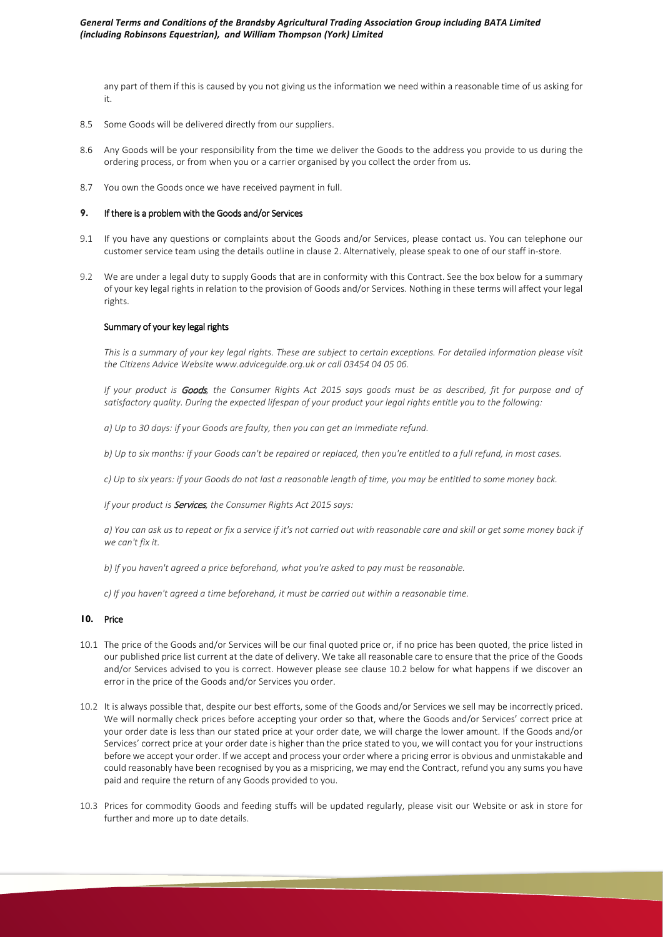any part of them if this is caused by you not giving us the information we need within a reasonable time of us asking for it.

- 8.5 Some Goods will be delivered directly from our suppliers.
- 8.6 Any Goods will be your responsibility from the time we deliver the Goods to the address you provide to us during the ordering process, or from when you or a carrier organised by you collect the order from us.
- 8.7 You own the Goods once we have received payment in full.

# **9.** If there is a problem with the Goods and/or Services

- 9.1 If you have any questions or complaints about the Goods and/or Services, please contact us. You can telephone our customer service team using the details outline in clause 2. Alternatively, please speak to one of our staff in-store.
- 9.2 We are under a legal duty to supply Goods that are in conformity with this Contract. See the box below for a summary of your key legal rights in relation to the provision of Goods and/or Services. Nothing in these terms will affect your legal rights.

#### Summary of your key legal rights

*This is a summary of your key legal rights. These are subject to certain exceptions. For detailed information please visit the Citizens Advice Website www.adviceguide.org.uk or call 03454 04 05 06.*

*If your product is* Goods*, the Consumer Rights Act 2015 says goods must be as described, fit for purpose and of satisfactory quality. During the expected lifespan of your product your legal rights entitle you to the following:*

*a) Up to 30 days: if your Goods are faulty, then you can get an immediate refund.*

*b) Up to six months: if your Goods can't be repaired or replaced, then you're entitled to a full refund, in most cases.*

*c) Up to six years: if your Goods do not last a reasonable length of time, you may be entitled to some money back.*

*If your product is* Services*, the Consumer Rights Act 2015 says:*

*a) You can ask us to repeat or fix a service if it's not carried out with reasonable care and skill or get some money back if we can't fix it.*

*b) If you haven't agreed a price beforehand, what you're asked to pay must be reasonable.*

*c) If you haven't agreed a time beforehand, it must be carried out within a reasonable time.*

### **10.** Price

- 10.1 The price of the Goods and/or Services will be our final quoted price or, if no price has been quoted, the price listed in our published price list current at the date of delivery. We take all reasonable care to ensure that the price of the Goods and/or Services advised to you is correct. However please see clause 10.2 below for what happens if we discover an error in the price of the Goods and/or Services you order.
- 10.2 It is always possible that, despite our best efforts, some of the Goods and/or Services we sell may be incorrectly priced. We will normally check prices before accepting your order so that, where the Goods and/or Services' correct price at your order date is less than our stated price at your order date, we will charge the lower amount. If the Goods and/or Services' correct price at your order date is higher than the price stated to you, we will contact you for your instructions before we accept your order. If we accept and process your order where a pricing error is obvious and unmistakable and could reasonably have been recognised by you as a mispricing, we may end the Contract, refund you any sums you have paid and require the return of any Goods provided to you.
- 10.3 Prices for commodity Goods and feeding stuffs will be updated regularly, please visit our Website or ask in store for further and more up to date details.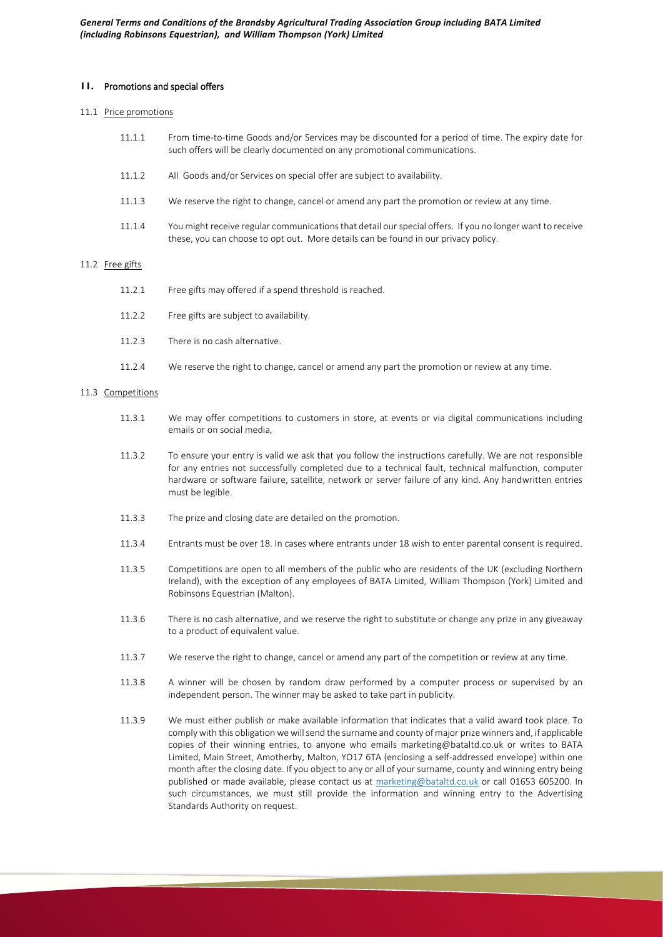### **11.** Promotions and special offers

# 11.1 Price promotions

- 11.1.1 From time-to-time Goods and/or Services may be discounted for a period of time. The expiry date for such offers will be clearly documented on any promotional communications.
- 11.1.2 All Goods and/or Services on special offer are subject to availability.
- 11.1.3 We reserve the right to change, cancel or amend any part the promotion or review at any time.
- 11.1.4 You might receive regular communications that detail our special offers. If you no longer want to receive these, you can choose to opt out. More details can be found in our privacy policy.

#### 11.2 Free gifts

- 11.2.1 Free gifts may offered if a spend threshold is reached.
- 11.2.2 Free gifts are subject to availability.
- 11.2.3 There is no cash alternative.
- 11.2.4 We reserve the right to change, cancel or amend any part the promotion or review at any time.

#### 11.3 Competitions

- 11.3.1 We may offer competitions to customers in store, at events or via digital communications including emails or on social media,
- 11.3.2 To ensure your entry is valid we ask that you follow the instructions carefully. We are not responsible for any entries not successfully completed due to a technical fault, technical malfunction, computer hardware or software failure, satellite, network or server failure of any kind. Any handwritten entries must be legible.
- 11.3.3 The prize and closing date are detailed on the promotion.
- 11.3.4 Entrants must be over 18. In cases where entrants under 18 wish to enter parental consent is required.
- 11.3.5 Competitions are open to all members of the public who are residents of the UK (excluding Northern Ireland), with the exception of any employees of BATA Limited, William Thompson (York) Limited and Robinsons Equestrian (Malton).
- 11.3.6 There is no cash alternative, and we reserve the right to substitute or change any prize in any giveaway to a product of equivalent value.
- 11.3.7 We reserve the right to change, cancel or amend any part of the competition or review at any time.
- 11.3.8 A winner will be chosen by random draw performed by a computer process or supervised by an independent person. The winner may be asked to take part in publicity.
- 11.3.9 We must either publish or make available information that indicates that a valid award took place. To comply with this obligation we will send the surname and county of major prize winners and, if applicable copies of their winning entries, to anyone who emails marketing@bataltd.co.uk or writes to BATA Limited, Main Street, Amotherby, Malton, YO17 6TA (enclosing a self-addressed envelope) within one month after the closing date. If you object to any or all of your surname, county and winning entry being published or made available, please contact us at marketing@bataltd.co.uk or call 01653 605200. In such circumstances, we must still provide the information and winning entry to the Advertising Standards Authority on request.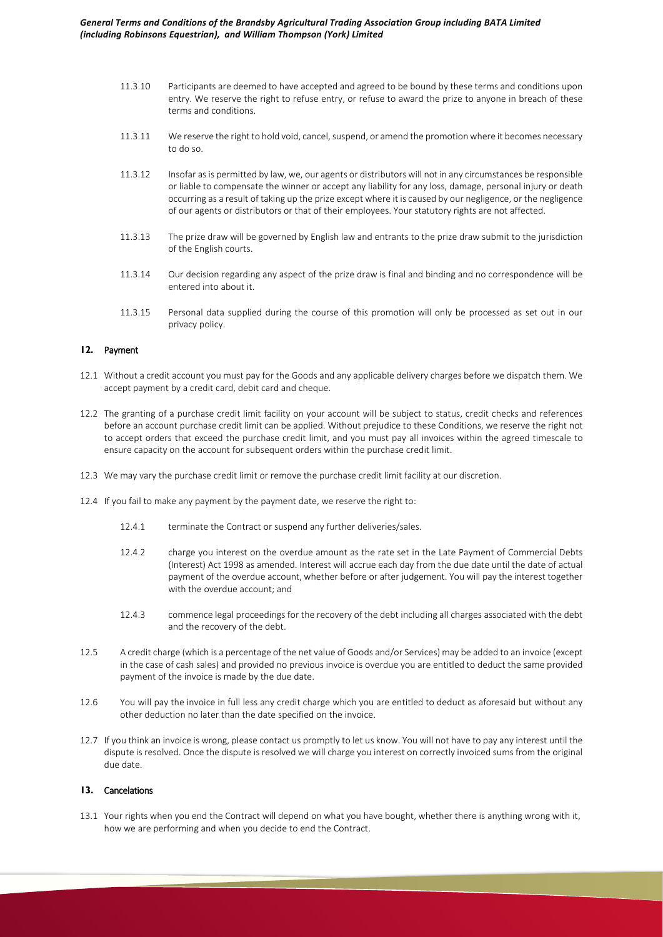*General Terms and Conditions of the Brandsby Agricultural Trading Association Group including BATA Limited (including Robinsons Equestrian), and William Thompson (York) Limited* 

- 11.3.10 Participants are deemed to have accepted and agreed to be bound by these terms and conditions upon entry. We reserve the right to refuse entry, or refuse to award the prize to anyone in breach of these terms and conditions.
- 11.3.11 We reserve the right to hold void, cancel, suspend, or amend the promotion where it becomes necessary to do so.
- 11.3.12 Insofar as is permitted by law, we, our agents or distributors will not in any circumstances be responsible or liable to compensate the winner or accept any liability for any loss, damage, personal injury or death occurring as a result of taking up the prize except where it is caused by our negligence, or the negligence of our agents or distributors or that of their employees. Your statutory rights are not affected.
- 11.3.13 The prize draw will be governed by English law and entrants to the prize draw submit to the jurisdiction of the English courts.
- 11.3.14 Our decision regarding any aspect of the prize draw is final and binding and no correspondence will be entered into about it.
- 11.3.15 Personal data supplied during the course of this promotion will only be processed as set out in our privacy policy.

### **12.** Payment

- 12.1 Without a credit account you must pay for the Goods and any applicable delivery charges before we dispatch them. We accept payment by a credit card, debit card and cheque.
- 12.2 The granting of a purchase credit limit facility on your account will be subject to status, credit checks and references before an account purchase credit limit can be applied. Without prejudice to these Conditions, we reserve the right not to accept orders that exceed the purchase credit limit, and you must pay all invoices within the agreed timescale to ensure capacity on the account for subsequent orders within the purchase credit limit.
- 12.3 We may vary the purchase credit limit or remove the purchase credit limit facility at our discretion.
- 12.4 If you fail to make any payment by the payment date, we reserve the right to:
	- 12.4.1 terminate the Contract or suspend any further deliveries/sales.
	- 12.4.2 charge you interest on the overdue amount as the rate set in the Late Payment of Commercial Debts (Interest) Act 1998 as amended. Interest will accrue each day from the due date until the date of actual payment of the overdue account, whether before or after judgement. You will pay the interest together with the overdue account; and
	- 12.4.3 commence legal proceedings for the recovery of the debt including all charges associated with the debt and the recovery of the debt.
- 12.5 A credit charge (which is a percentage of the net value of Goods and/or Services) may be added to an invoice (except in the case of cash sales) and provided no previous invoice is overdue you are entitled to deduct the same provided payment of the invoice is made by the due date.
- 12.6 You will pay the invoice in full less any credit charge which you are entitled to deduct as aforesaid but without any other deduction no later than the date specified on the invoice.
- 12.7 If you think an invoice is wrong, please contact us promptly to let us know. You will not have to pay any interest until the dispute is resolved. Once the dispute is resolved we will charge you interest on correctly invoiced sums from the original due date.

### **13.** Cancelations

13.1 Your rights when you end the Contract will depend on what you have bought, whether there is anything wrong with it, how we are performing and when you decide to end the Contract.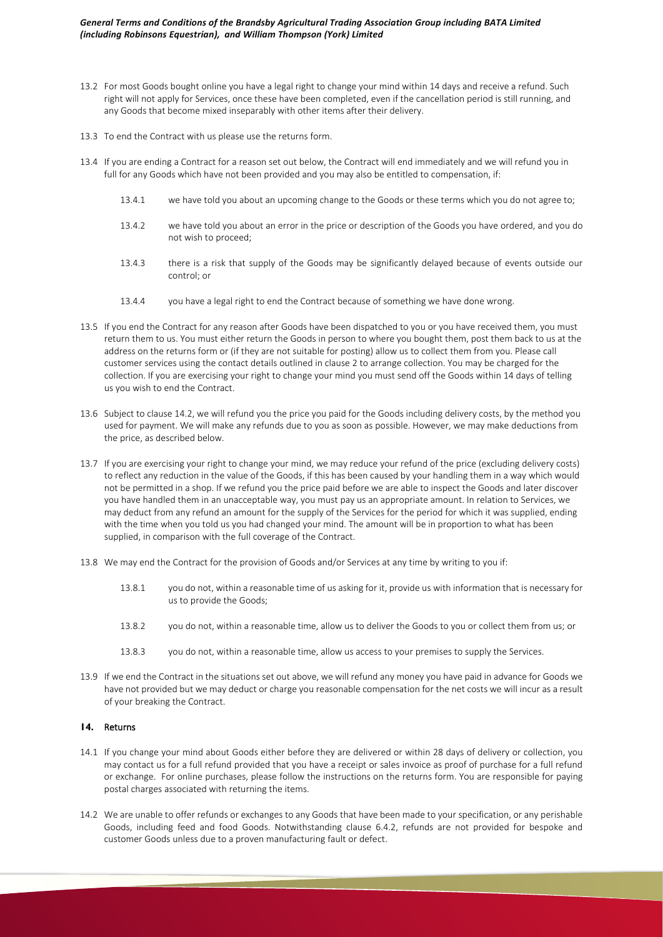- 13.2 For most Goods bought online you have a legal right to change your mind within 14 days and receive a refund. Such right will not apply for Services, once these have been completed, even if the cancellation period is still running, and any Goods that become mixed inseparably with other items after their delivery.
- 13.3 To end the Contract with us please use the returns form.
- 13.4 If you are ending a Contract for a reason set out below, the Contract will end immediately and we will refund you in full for any Goods which have not been provided and you may also be entitled to compensation, if:
	- 13.4.1 we have told you about an upcoming change to the Goods or these terms which you do not agree to;
	- 13.4.2 we have told you about an error in the price or description of the Goods you have ordered, and you do not wish to proceed;
	- 13.4.3 there is a risk that supply of the Goods may be significantly delayed because of events outside our control; or
	- 13.4.4 you have a legal right to end the Contract because of something we have done wrong.
- 13.5 If you end the Contract for any reason after Goods have been dispatched to you or you have received them, you must return them to us. You must either return the Goods in person to where you bought them, post them back to us at the address on the returns form or (if they are not suitable for posting) allow us to collect them from you. Please call customer services using the contact details outlined in clause 2 to arrange collection. You may be charged for the collection. If you are exercising your right to change your mind you must send off the Goods within 14 days of telling us you wish to end the Contract.
- 13.6 Subject to clause 14.2, we will refund you the price you paid for the Goods including delivery costs, by the method you used for payment. We will make any refunds due to you as soon as possible. However, we may make deductions from the price, as described below.
- 13.7 If you are exercising your right to change your mind, we may reduce your refund of the price (excluding delivery costs) to reflect any reduction in the value of the Goods, if this has been caused by your handling them in a way which would not be permitted in a shop. If we refund you the price paid before we are able to inspect the Goods and later discover you have handled them in an unacceptable way, you must pay us an appropriate amount. In relation to Services, we may deduct from any refund an amount for the supply of the Services for the period for which it was supplied, ending with the time when you told us you had changed your mind. The amount will be in proportion to what has been supplied, in comparison with the full coverage of the Contract.
- 13.8 We may end the Contract for the provision of Goods and/or Services at any time by writing to you if:
	- 13.8.1 you do not, within a reasonable time of us asking for it, provide us with information that is necessary for us to provide the Goods;
	- 13.8.2 you do not, within a reasonable time, allow us to deliver the Goods to you or collect them from us; or
	- 13.8.3 you do not, within a reasonable time, allow us access to your premises to supply the Services.
- 13.9 If we end the Contract in the situations set out above, we will refund any money you have paid in advance for Goods we have not provided but we may deduct or charge you reasonable compensation for the net costs we will incur as a result of your breaking the Contract.

# **14.** Returns

- 14.1 If you change your mind about Goods either before they are delivered or within 28 days of delivery or collection, you may contact us for a full refund provided that you have a receipt or sales invoice as proof of purchase for a full refund or exchange. For online purchases, please follow the instructions on the returns form. You are responsible for paying postal charges associated with returning the items.
- 14.2 We are unable to offer refunds or exchanges to any Goods that have been made to your specification, or any perishable Goods, including feed and food Goods. Notwithstanding clause 6.4.2, refunds are not provided for bespoke and customer Goods unless due to a proven manufacturing fault or defect.